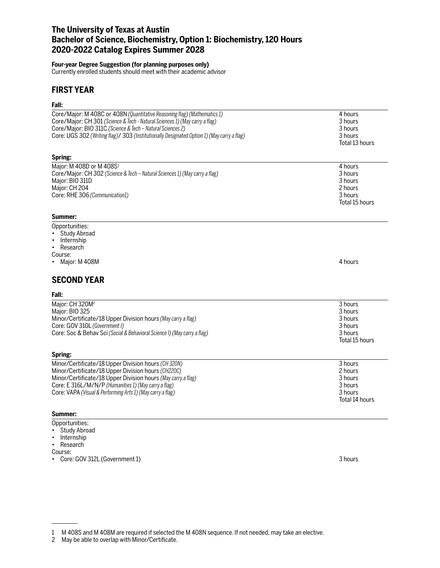# **The University of Texas at Austin Bachelor of Science, Biochemistry, Option 1: Biochemistry, 120 Hours 2020-2022 Catalog Expires Summer 2028**

#### **Four-year Degree Suggestion (for planning purposes only)**

Currently enrolled students should meet with their academic advisor

# **FIRST YEAR**

## **Fall:**

| Core/Major: M 408C or 408N (Quantitative Reasoning flag) (Mathematics 1)                   | 4 hours        |
|--------------------------------------------------------------------------------------------|----------------|
| Core/Major: CH 301 (Science & Tech - Natural Sciences 1) (May carry a flag)                | 3 hours        |
| Core/Major: BIO 311C (Science & Tech - Natural Sciences 2)                                 | 3 hours        |
| Core: UGS 302 (Writing flag)/ 303 (Institutionally Designated Option 1) (May carry a flag) | 3 hours        |
|                                                                                            | Total 13 hours |
|                                                                                            |                |
| Spring:                                                                                    |                |
| Major: M 408D or M 408S <sup>1</sup>                                                       | 4 hours        |
| Core/Major: CH 302 (Science & Tech - Natural Sciences 1) (May carry a flag)                | 3 hours        |
| Major: BIO 311D                                                                            | 3 hours        |
| Major: CH 204                                                                              | 2 hours        |
| Core: RHE 306 (Communication1)                                                             | 3 hours        |
|                                                                                            | Total 15 hours |
|                                                                                            |                |
| Summer:                                                                                    |                |
| Opportunities:                                                                             |                |
| <b>Study Abroad</b>                                                                        |                |
| Internship                                                                                 |                |
| Research<br>$\bullet$                                                                      |                |
| Course:                                                                                    |                |
| Major: M 408M                                                                              | 4 hours        |
|                                                                                            |                |
| <b>SECOND YEAR</b>                                                                         |                |
| Fall:                                                                                      |                |
| Major: CH 320M <sup>2</sup>                                                                | 3 hours        |
| Major: BIO 325                                                                             | 3 hours        |
| Minor/Certificate/18 Upper Division hours (May carry a flag)                               | 3 hours        |
| Core: GOV 310L (Government I)                                                              | 3 hours        |
| Core: Soc & Behav Sci (Social & Behavioral Science I) (May carry a flag)                   | 3 hours        |
|                                                                                            | Total 15 hours |
|                                                                                            |                |
| Spring:                                                                                    |                |
| Minor/Certificate/18 Upper Division hours (CH 320N)                                        | 3 hours        |
| Minor/Certificate/18 Upper Division hours (CH220C)                                         | 2 hours        |
| Minor/Certificate/18 Upper Division hours (May carry a flag)                               | 3 hours        |
|                                                                                            | 3 hours        |
| Core: E 316L/M/N/P (Humanities 1) (May carry a flag)                                       |                |
| Core: VAPA (Visual & Performing Arts 1) (May carry a flag)                                 | 3 hours        |
|                                                                                            | Total 14 hours |
| Summer:                                                                                    |                |
| Opportunition:                                                                             |                |

- Opportunities: • Study Abroad
- Internship
- Research

Course:

• Core: GOV 312L (Government 1) 3 hours

<sup>1</sup> M 408S and M 408M are required if selected the M 408N sequence. If not needed, may take an elective.

<sup>2</sup> May be able to overlap with Minor/Certificate.